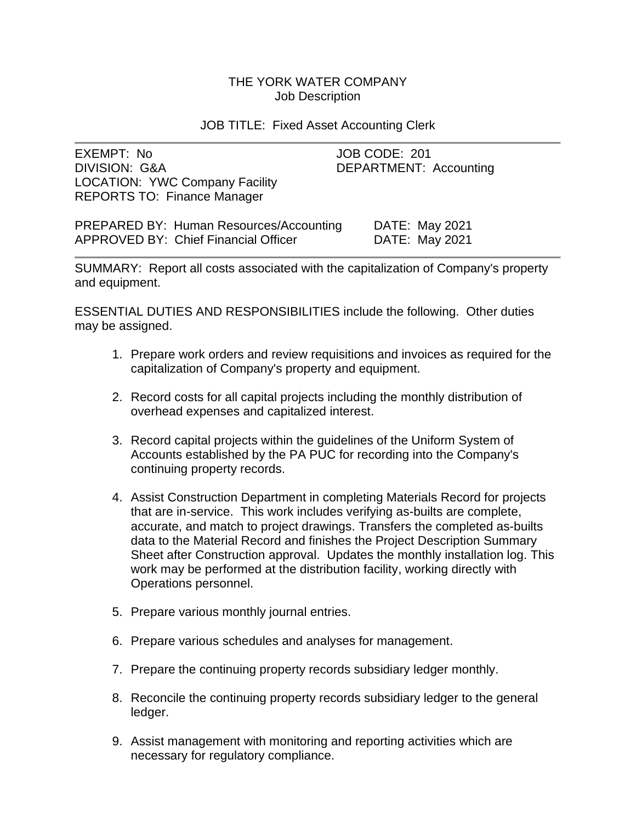# THE YORK WATER COMPANY Job Description

### JOB TITLE: Fixed Asset Accounting Clerk

| EXEMPT: No                            | JOB CODE: 201          |
|---------------------------------------|------------------------|
| DIVISION: G&A                         | DEPARTMENT: Accounting |
| <b>LOCATION: YWC Company Facility</b> |                        |
| <b>REPORTS TO: Finance Manager</b>    |                        |
|                                       |                        |

PREPARED BY: Human Resources/Accounting DATE: May 2021 APPROVED BY: Chief Financial Officer DATE: May 2021

SUMMARY: Report all costs associated with the capitalization of Company's property and equipment.

ESSENTIAL DUTIES AND RESPONSIBILITIES include the following. Other duties may be assigned.

- 1. Prepare work orders and review requisitions and invoices as required for the capitalization of Company's property and equipment.
- 2. Record costs for all capital projects including the monthly distribution of overhead expenses and capitalized interest.
- 3. Record capital projects within the guidelines of the Uniform System of Accounts established by the PA PUC for recording into the Company's continuing property records.
- 4. Assist Construction Department in completing Materials Record for projects that are in-service. This work includes verifying as-builts are complete, accurate, and match to project drawings. Transfers the completed as-builts data to the Material Record and finishes the Project Description Summary Sheet after Construction approval. Updates the monthly installation log. This work may be performed at the distribution facility, working directly with Operations personnel.
- 5. Prepare various monthly journal entries.
- 6. Prepare various schedules and analyses for management.
- 7. Prepare the continuing property records subsidiary ledger monthly.
- 8. Reconcile the continuing property records subsidiary ledger to the general ledger.
- 9. Assist management with monitoring and reporting activities which are necessary for regulatory compliance.